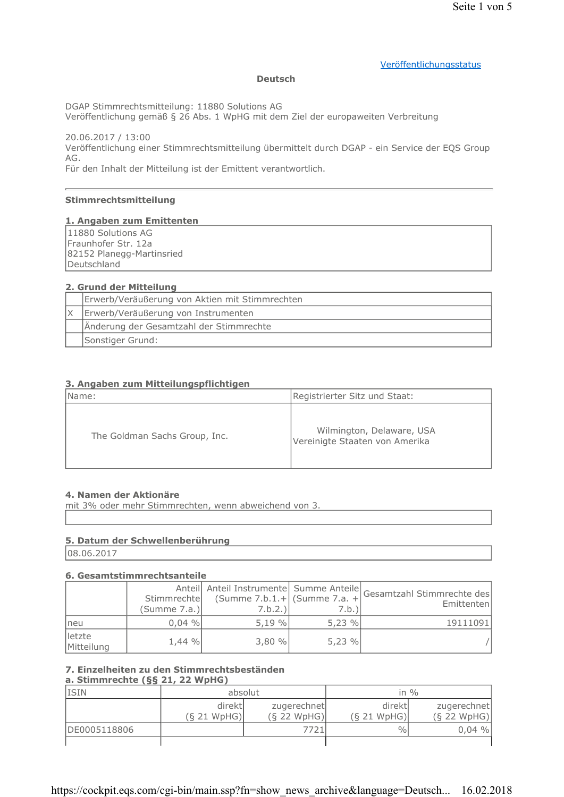#### Veröffentlichungsstatus

#### **Deutsch**

DGAP Stimmrechtsmitteilung: 11880 Solutions AG

Veröffentlichung gemäß § 26 Abs. 1 WpHG mit dem Ziel der europaweiten Verbreitung

20.06.2017 / 13:00 Veröffentlichung einer Stimmrechtsmitteilung übermittelt durch DGAP - ein Service der EQS Group AG.

Für den Inhalt der Mitteilung ist der Emittent verantwortlich.

#### Stimmrechtsmitteilung

#### 1. Angaben zum Emittenten

11880 Solutions AG Fraunhofer Str. 12a 82152 Planegg-Martinsried Deutschland

#### 2. Grund der Mitteilung

| Erwerb/Veräußerung von Aktien mit Stimmrechten |  |
|------------------------------------------------|--|
| Erwerb/Veräußerung von Instrumenten            |  |
| Änderung der Gesamtzahl der Stimmrechte        |  |
| Sonstiger Grund:                               |  |

#### 3. Angaben zum Mitteilungspflichtigen

| Name:                         | Registrierter Sitz und Staat:                               |
|-------------------------------|-------------------------------------------------------------|
| The Goldman Sachs Group, Inc. | Wilmington, Delaware, USA<br>Vereinigte Staaten von Amerika |

#### 4. Namen der Aktionäre

mit 3% oder mehr Stimmrechten, wenn abweichend von 3.

#### 5. Datum der Schwellenberührung

08.06.2017

#### 6. Gesamtstimmrechtsanteile

|                      | Stimmrechte<br>(Summe 7.a.) | (Summe $7.b.1.+$ (Summe $7.a. +$<br>7.b.2.) | 7.b.) | Anteil Anteil Instrumente Summe Anteile Gesamtzahl Stimmrechte des<br>Emittenten |
|----------------------|-----------------------------|---------------------------------------------|-------|----------------------------------------------------------------------------------|
| neu                  | $0,04\%$                    | 5,19%                                       | 5,23% | 19111091                                                                         |
| letzte<br>Mitteilung | $1,44\%$                    | 3,80%                                       | 5.23% |                                                                                  |

# 7. Einzelheiten zu den Stimmrechtsbeständen

## a. Stimmrechte (§§ 21, 22 WpHG)

| <b>ISIN</b>  | absolut                |                              |                        | in $\%$                      |
|--------------|------------------------|------------------------------|------------------------|------------------------------|
|              | direktl<br>(S 21 WpHG) | zugerechnet<br>$(S$ 22 WpHG) | direktl<br>(S 21 WpHG) | zugerechnet<br>$(S$ 22 WpHG) |
| DE0005118806 |                        | 7721                         | $\frac{0}{0}$          | $0.04\%$                     |
|              |                        |                              |                        |                              |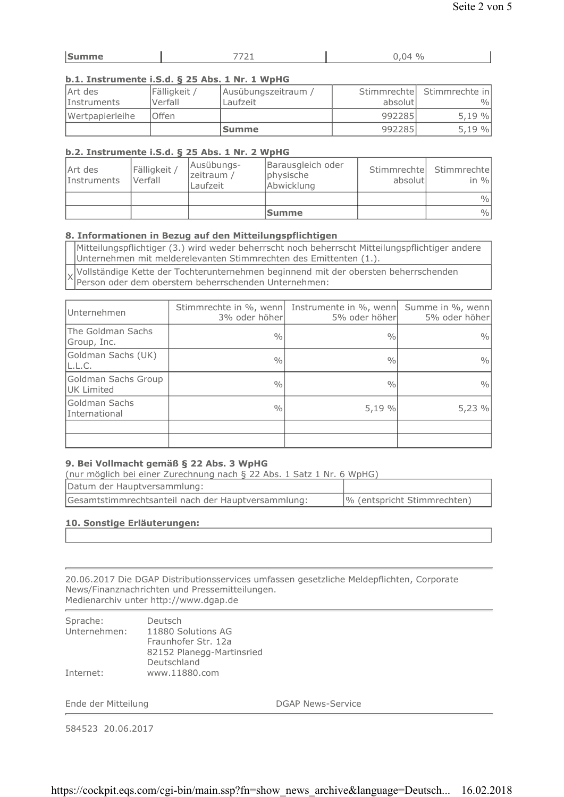| $\sim$<br><b>Contract Contract Contract</b><br>- | --<br>$\cdot$ $\cdot$ $\,-$ | $\mathbf{A}$<br>$\gamma_0$ |
|--------------------------------------------------|-----------------------------|----------------------------|
|                                                  |                             |                            |

#### b.1. Instrumente i.S.d. § 25 Abs. 1 Nr. 1 WpHG

| Art des<br>Instruments | Fälligkeit /<br>Verfall | Ausübungszeitraum /<br>Laufzeit | absolutl | Stimmrechte Stimmrechte in<br>$\frac{0}{0}$ |
|------------------------|-------------------------|---------------------------------|----------|---------------------------------------------|
| Wertpapierleihe        | lOffen                  |                                 | 992285   | 5,19%                                       |
|                        |                         | lSumme                          | 992285   | 5,19%                                       |

#### b.2. Instrumente i.S.d. § 25 Abs. 1 Nr. 2 WpHG

| Art des<br>Instruments | Fälligkeit<br>Verfall | Ausübungs-<br>zeitraum /<br>Laufzeit | Barausgleich oder<br>physische<br>Abwicklung | Stimmrechtel<br>absolutl | Stimmrechtel<br>in $\%$ |
|------------------------|-----------------------|--------------------------------------|----------------------------------------------|--------------------------|-------------------------|
|                        |                       |                                      |                                              |                          | $\frac{0}{0}$           |
|                        |                       |                                      | <b>Summe</b>                                 |                          | $\frac{0}{0}$           |

#### 8. Informationen in Bezug auf den Mitteilungspflichtigen

Mitteilungspflichtiger (3.) wird weder beherrscht noch beherrscht Mitteilungspflichtiger andere Unternehmen mit melderelevanten Stimmrechten des Emittenten (1.).

Vollständige Kette der Tochterunternehmen beginnend mit der obersten beherrschenden Χ Person oder dem oberstem beherrschenden Unternehmen:

| Unternehmen                       | 3% oder höherl | Stimmrechte in %, wenn Instrumente in %, wenn<br>5% oder höherl | Summe in %, wenn<br>5% oder höher |
|-----------------------------------|----------------|-----------------------------------------------------------------|-----------------------------------|
| The Goldman Sachs<br>Group, Inc.  | $\frac{0}{0}$  | 0/0                                                             | $\frac{0}{0}$                     |
| Goldman Sachs (UK)<br>L.L.C.      | $\frac{0}{0}$  | $\frac{0}{0}$                                                   | $\frac{0}{0}$                     |
| Goldman Sachs Group<br>UK Limited | $\frac{0}{0}$  | $\frac{0}{0}$                                                   | $\frac{0}{0}$                     |
| Goldman Sachs<br>International    | $\frac{0}{0}$  | 5,19 %                                                          | 5,23%                             |
|                                   |                |                                                                 |                                   |
|                                   |                |                                                                 |                                   |

## 9. Bei Vollmacht gemäß § 22 Abs. 3 WpHG

(nur möglich bei einer Zurechnung nach § 22 Abs. 1 Satz 1 Nr. 6 WpHG)

| Datum der Hauptversammlung:                        |                             |
|----------------------------------------------------|-----------------------------|
| Gesamtstimmrechtsanteil nach der Hauptversammlung: | % (entspricht Stimmrechten) |

#### 10. Sonstige Erläuterungen:

20.06.2017 Die DGAP Distributionsservices umfassen gesetzliche Meldepflichten, Corporate News/Finanznachrichten und Pressemitteilungen. Medienarchiv unter http://www.dgap.de

| Sprache:     | Deutsch                   |
|--------------|---------------------------|
| Unternehmen: | 11880 Solutions AG        |
|              | Fraunhofer Str. 12a       |
|              | 82152 Planegg-Martinsried |
|              | Deutschland               |
| Internet:    | www.11880.com             |
|              |                           |

Ende der Mitteilung

**DGAP News-Service** 

584523 20.06.2017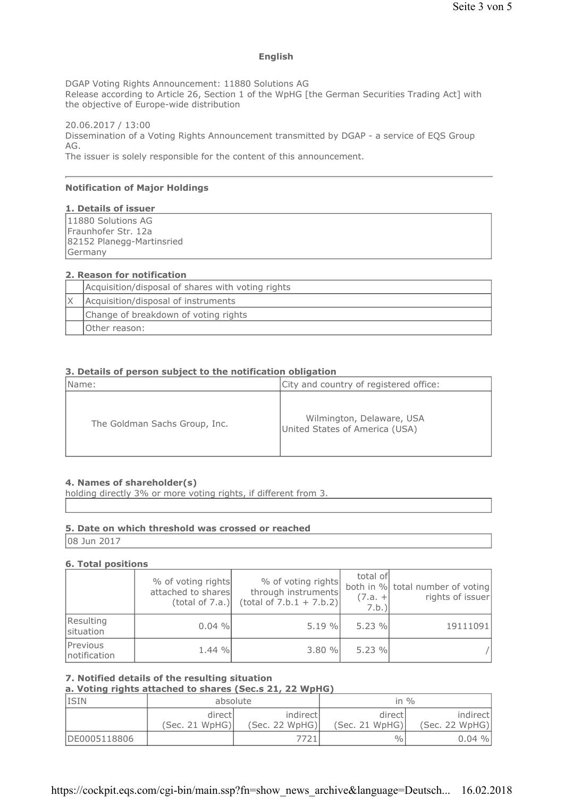#### **English**

DGAP Voting Rights Announcement: 11880 Solutions AG Release according to Article 26, Section 1 of the WpHG [the German Securities Trading Act] with the objective of Europe-wide distribution

20.06.2017 / 13:00 Dissemination of a Voting Rights Announcement transmitted by DGAP - a service of EQS Group AG. The issuer is solely responsible for the content of this announcement.

#### **Notification of Major Holdings**

#### 1. Details of issuer

11880 Solutions AG Fraunhofer Str. 12a 82152 Planegg-Martinsried Germany

### 2. Reason for notification

| Acquisition/disposal of shares with voting rights |  |  |
|---------------------------------------------------|--|--|
| Acquisition/disposal of instruments               |  |  |
| Change of breakdown of voting rights              |  |  |
| Other reason:                                     |  |  |

#### 3. Details of person subject to the notification obligation

| Name:                         | City and country of registered office:                      |
|-------------------------------|-------------------------------------------------------------|
| The Goldman Sachs Group, Inc. | Wilmington, Delaware, USA<br>United States of America (USA) |

#### 4. Names of shareholder(s)

holding directly 3% or more voting rights, if different from 3.

## 5. Date on which threshold was crossed or reached

08 Jun 2017

#### **6. Total positions**

|                           | % of voting rights<br>attached to shares<br>(total of 7.a.) | % of voting rights<br>through instruments<br>(total of 7.b.1 + 7.b.2) | total of<br>$(7.a. +$<br>7.b. | both in % total number of voting<br>rights of issuer |
|---------------------------|-------------------------------------------------------------|-----------------------------------------------------------------------|-------------------------------|------------------------------------------------------|
| Resulting<br>situation    | 0.04%                                                       | 5.19%                                                                 | 5.23%                         | 19111091                                             |
| Previous<br>Inotification | 1.44 %                                                      | 3.80%                                                                 | 5.23%                         |                                                      |

#### 7. Notified details of the resulting situation

## a. Voting rights attached to shares (Sec.s 21, 22 WpHG)

| <b>ISIN</b>  | absolute                  |                             | in $\%$                  |                            |
|--------------|---------------------------|-----------------------------|--------------------------|----------------------------|
|              | directl<br>(Sec. 21 WpHG) | indirectl<br>(Sec. 22 WpHG) | direct<br>(Sec. 21 WpHG) | indirect<br>(Sec. 22 WpHG) |
| DE0005118806 |                           | 7721                        | $\frac{0}{0}$            | 0.04%                      |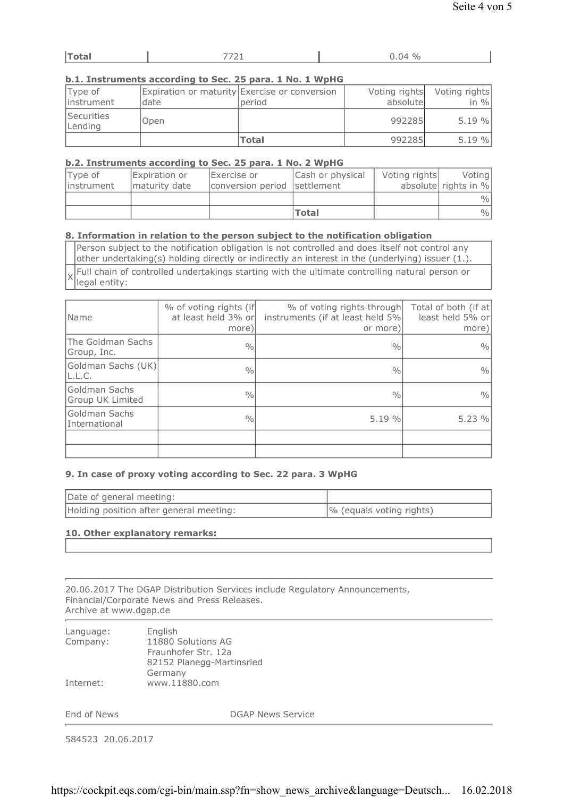| . IZI                         |  |               |
|-------------------------------|--|---------------|
| $\cdot$ $\cdot$ $\sim$ $\sim$ |  | $\frac{0}{0}$ |

#### b.1. Instruments according to Sec. 25 para, 1 No. 1 WpHG

| Type of<br>linstrument       | date | Expiration or maturity Exercise or conversion<br>period | absolute | Voting rights Voting rights<br>in $\%$ |
|------------------------------|------|---------------------------------------------------------|----------|----------------------------------------|
| <b>Securities</b><br>Lending | Open |                                                         | 992285   | 5.19%                                  |
|                              |      | <b>Total</b>                                            | 992285   | 5.19%                                  |

#### b.2. Instruments according to Sec. 25 para, 1 No. 2 WpHG

| Type of<br>linstrument | Expiration or<br>Imaturity date | Exercise or<br>conversion period settlement | Cash or physical | Voting rights | Voting<br>absolute rights in % |
|------------------------|---------------------------------|---------------------------------------------|------------------|---------------|--------------------------------|
|                        |                                 |                                             |                  |               | $\frac{0}{0}$                  |
|                        |                                 |                                             | <b>Total</b>     |               | $\frac{0}{0}$                  |

#### 8. Information in relation to the person subject to the notification obligation

Person subject to the notification obligation is not controlled and does itself not control any other undertaking(s) holding directly or indirectly an interest in the (underlying) issuer (1.). Full chain of controlled undertakings starting with the ultimate controlling natural person or legal entity:

| Name                              | % of voting rights (if<br>at least held 3% or<br>more) | % of voting rights through<br>instruments (if at least held 5%<br>or more) | Total of both (if at<br>least held 5% or<br>more) |
|-----------------------------------|--------------------------------------------------------|----------------------------------------------------------------------------|---------------------------------------------------|
| The Goldman Sachs<br>Group, Inc.  | $\frac{0}{0}$                                          | $\frac{0}{0}$                                                              | $\frac{0}{0}$                                     |
| Goldman Sachs (UK)<br>L.L.C.      | $\frac{0}{0}$                                          | $\frac{0}{0}$                                                              | $\frac{0}{0}$                                     |
| Goldman Sachs<br>Group UK Limited | $\frac{0}{0}$                                          | $\frac{0}{0}$                                                              | $\frac{0}{0}$                                     |
| Goldman Sachs<br>International    | 0/0                                                    | 5.19%                                                                      | 5.23%                                             |
|                                   |                                                        |                                                                            |                                                   |
|                                   |                                                        |                                                                            |                                                   |

#### 9. In case of proxy voting according to Sec. 22 para. 3 WpHG

| Date of general meeting:                |                          |
|-----------------------------------------|--------------------------|
| Holding position after general meeting: | % (equals voting rights) |

#### 10. Other explanatory remarks:

20.06.2017 The DGAP Distribution Services include Regulatory Announcements, Financial/Corporate News and Press Releases. Archive at www.dgap.de

| Language: | English                   |
|-----------|---------------------------|
| Company:  | 11880 Solutions AG        |
|           | Fraunhofer Str. 12a       |
|           | 82152 Planegg-Martinsried |
|           | Germany                   |
| Internet: | www.11880.com             |

End of News

 $\times$ 

**DGAP News Service** 

584523 20.06.2017